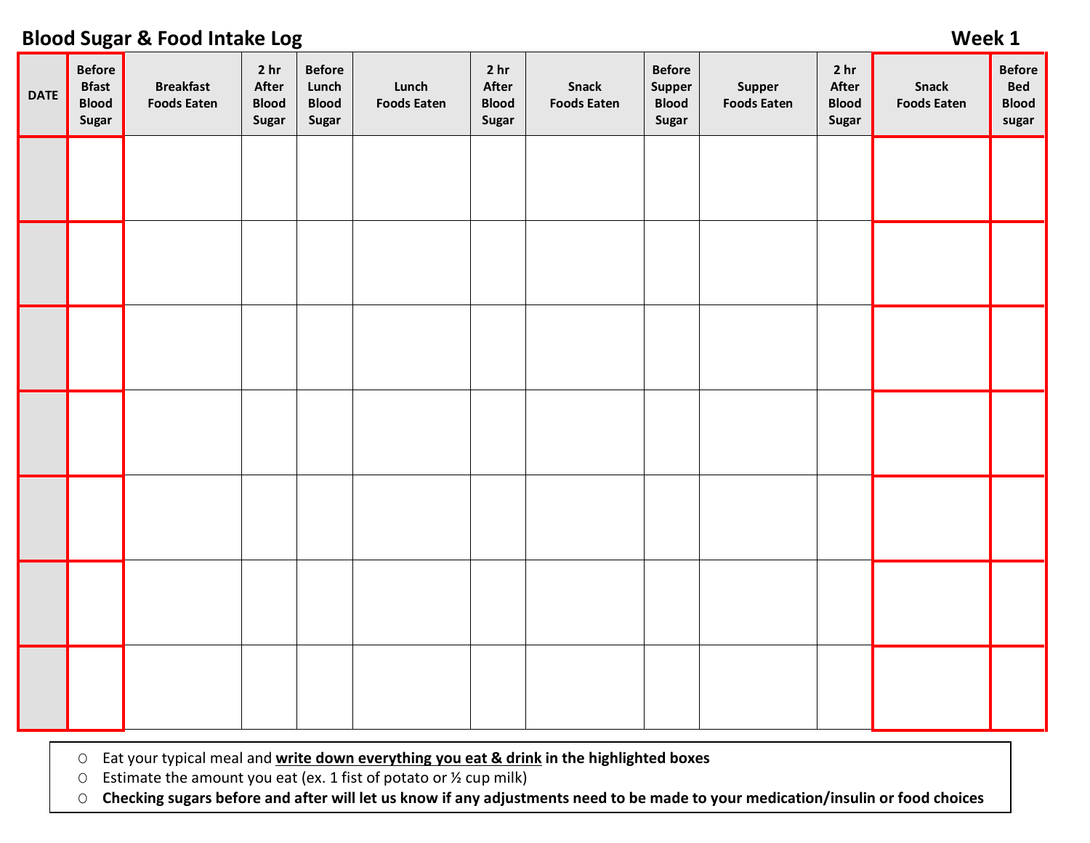### **DATE Before Bfast Blood Sugar Breakfast Foods Eaten 2 hr After Blood Sugar Before Lunch Blood Sugar Lunch Foods Eaten 2 hr After Blood Sugar Snack Foods Eaten Before Supper Blood Sugar Supper Foods Eaten 2 hr After Blood Sugar Snack Foods Eaten Before Bed Blood sugar**

O Eat your typical meal and **write down everything you eat & drink in the highlighted boxes**

O Estimate the amount you eat (ex. 1 fist of potato or  $\frac{1}{2}$  cup milk)

O **Checking sugars before and after will let us know if any adjustments need to be made to your medication/insulin or food choices**

## **Blood Sugar & Food Intake Log Week 1**